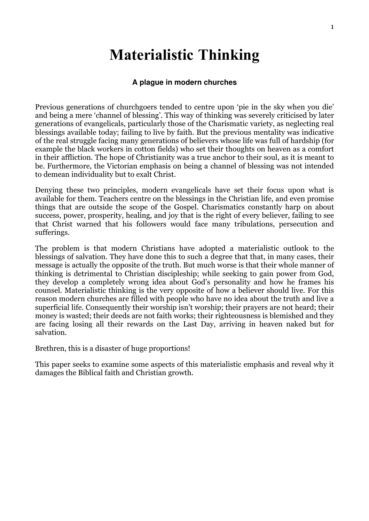# Materialistic Thinking

## **A plague in modern churches**

Previous generations of churchgoers tended to centre upon 'pie in the sky when you die' and being a mere 'channel of blessing'. This way of thinking was severely criticised by later generations of evangelicals, particularly those of the Charismatic variety, as neglecting real blessings available today; failing to live by faith. But the previous mentality was indicative of the real struggle facing many generations of believers whose life was full of hardship (for example the black workers in cotton fields) who set their thoughts on heaven as a comfort in their affliction. The hope of Christianity was a true anchor to their soul, as it is meant to be. Furthermore, the Victorian emphasis on being a channel of blessing was not intended to demean individuality but to exalt Christ.

Denying these two principles, modern evangelicals have set their focus upon what is available for them. Teachers centre on the blessings in the Christian life, and even promise things that are outside the scope of the Gospel. Charismatics constantly harp on about success, power, prosperity, healing, and joy that is the right of every believer, failing to see that Christ warned that his followers would face many tribulations, persecution and sufferings.

The problem is that modern Christians have adopted a materialistic outlook to the blessings of salvation. They have done this to such a degree that that, in many cases, their message is actually the opposite of the truth. But much worse is that their whole manner of thinking is detrimental to Christian discipleship; while seeking to gain power from God, they develop a completely wrong idea about God's personality and how he frames his counsel. Materialistic thinking is the very opposite of how a believer should live. For this reason modern churches are filled with people who have no idea about the truth and live a superficial life. Consequently their worship isn't worship; their prayers are not heard; their money is wasted; their deeds are not faith works; their righteousness is blemished and they are facing losing all their rewards on the Last Day, arriving in heaven naked but for salvation.

Brethren, this is a disaster of huge proportions!

This paper seeks to examine some aspects of this materialistic emphasis and reveal why it damages the Biblical faith and Christian growth.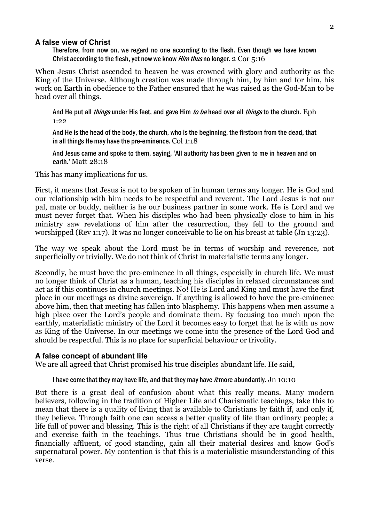#### **A false view of Christ**

Therefore, from now on, we regard no one according to the flesh. Even though we have known Christ according to the flesh, yet now we know Him thus no longer. 2 Cor 5:16

When Jesus Christ ascended to heaven he was crowned with glory and authority as the King of the Universe. Although creation was made through him, by him and for him, his work on Earth in obedience to the Father ensured that he was raised as the God-Man to be head over all things.

And He put all *things* under His feet, and gave Him *to be* head over all *things* to the church. Eph 1:22

And He is the head of the body, the church, who is the beginning, the firstborn from the dead, that in all things He may have the pre-eminence. Col 1:18

And Jesus came and spoke to them, saying, 'All authority has been given to me in heaven and on earth.' Matt 28:18

This has many implications for us.

First, it means that Jesus is not to be spoken of in human terms any longer. He is God and our relationship with him needs to be respectful and reverent. The Lord Jesus is not our pal, mate or buddy, neither is he our business partner in some work. He is Lord and we must never forget that. When his disciples who had been physically close to him in his ministry saw revelations of him after the resurrection, they fell to the ground and worshipped (Rev 1:17). It was no longer conceivable to lie on his breast at table (Jn 13:23).

The way we speak about the Lord must be in terms of worship and reverence, not superficially or trivially. We do not think of Christ in materialistic terms any longer.

Secondly, he must have the pre-eminence in all things, especially in church life. We must no longer think of Christ as a human, teaching his disciples in relaxed circumstances and act as if this continues in church meetings. No! He is Lord and King and must have the first place in our meetings as divine sovereign. If anything is allowed to have the pre-eminence above him, then that meeting has fallen into blasphemy. This happens when men assume a high place over the Lord's people and dominate them. By focusing too much upon the earthly, materialistic ministry of the Lord it becomes easy to forget that he is with us now as King of the Universe. In our meetings we come into the presence of the Lord God and should be respectful. This is no place for superficial behaviour or frivolity.

#### **A false concept of abundant life**

We are all agreed that Christ promised his true disciples abundant life. He said,

#### I have come that they may have life, and that they may have *it* more abundantly. Jn 10:10

But there is a great deal of confusion about what this really means. Many modern believers, following in the tradition of Higher Life and Charismatic teachings, take this to mean that there is a quality of living that is available to Christians by faith if, and only if, they believe. Through faith one can access a better quality of life than ordinary people; a life full of power and blessing. This is the right of all Christians if they are taught correctly and exercise faith in the teachings. Thus true Christians should be in good health, financially affluent, of good standing, gain all their material desires and know God's supernatural power. My contention is that this is a materialistic misunderstanding of this verse.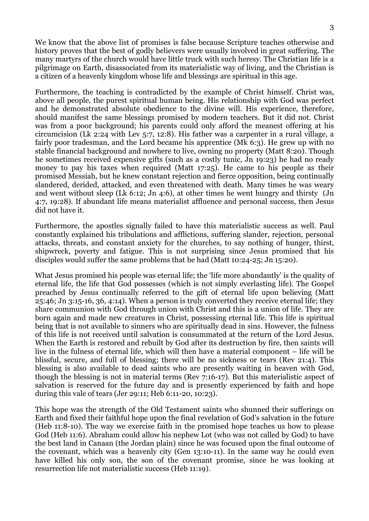We know that the above list of promises is false because Scripture teaches otherwise and history proves that the best of godly believers were usually involved in great suffering. The many martyrs of the church would have little truck with such heresy. The Christian life is a pilgrimage on Earth, disassociated from its materialistic way of living, and the Christian is a citizen of a heavenly kingdom whose life and blessings are spiritual in this age.

Furthermore, the teaching is contradicted by the example of Christ himself. Christ was, above all people, the purest spiritual human being. His relationship with God was perfect and he demonstrated absolute obedience to the divine will. His experience, therefore, should manifest the same blessings promised by modern teachers. But it did not. Christ was from a poor background; his parents could only afford the meanest offering at his circumcision (Lk 2:24 with Lev 5:7, 12:8). His father was a carpenter in a rural village, a fairly poor tradesman, and the Lord became his apprentice (Mk 6:3). He grew up with no stable financial background and nowhere to live, owning no property (Matt 8:20). Though he sometimes received expensive gifts (such as a costly tunic, Jn 19:23) he had no ready money to pay his taxes when required (Matt 17:25). He came to his people as their promised Messiah, but he knew constant rejection and fierce opposition, being continually slandered, derided, attacked, and even threatened with death. Many times he was weary and went without sleep (Lk 6:12; Jn 4:6), at other times he went hungry and thirsty (Jn 4:7, 19:28). If abundant life means materialist affluence and personal success, then Jesus did not have it.

Furthermore, the apostles signally failed to have this materialistic success as well. Paul constantly explained his tribulations and afflictions, suffering slander, rejection, personal attacks, threats, and constant anxiety for the churches, to say nothing of hunger, thirst, shipwreck, poverty and fatigue. This is not surprising since Jesus promised that his disciples would suffer the same problems that he had (Matt 10:24-25; Jn 15:20).

What Jesus promised his people was eternal life; the 'life more abundantly' is the quality of eternal life, the life that God possesses (which is not simply everlasting life). The Gospel preached by Jesus continually referred to the gift of eternal life upon believing (Matt 25:46; Jn 3:15-16, 36, 4:14). When a person is truly converted they receive eternal life; they share communion with God through union with Christ and this is a union of life. They are born again and made new creatures in Christ, possessing eternal life. This life is spiritual being that is not available to sinners who are spiritually dead in sins. However, the fulness of this life is not received until salvation is consummated at the return of the Lord Jesus. When the Earth is restored and rebuilt by God after its destruction by fire, then saints will live in the fulness of eternal life, which will then have a material component – life will be blissful, secure, and full of blessing; there will be no sickness or tears (Rev 21:4). This blessing is also available to dead saints who are presently waiting in heaven with God, though the blessing is not in material terms (Rev 7:16-17). But this materialistic aspect of salvation is reserved for the future day and is presently experienced by faith and hope during this vale of tears (Jer 29:11; Heb 6:11-20, 10:23).

This hope was the strength of the Old Testament saints who shunned their sufferings on Earth and fixed their faithful hope upon the final revelation of God's salvation in the future (Heb 11:8-10). The way we exercise faith in the promised hope teaches us how to please God (Heb 11:6). Abraham could allow his nephew Lot (who was not called by God) to have the best land in Canaan (the Jordan plain) since he was focused upon the final outcome of the covenant, which was a heavenly city (Gen 13:10-11). In the same way he could even have killed his only son, the son of the covenant promise, since he was looking at resurrection life not materialistic success (Heb 11:19).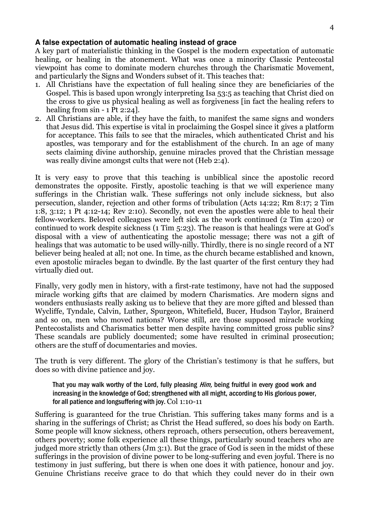#### **A false expectation of automatic healing instead of grace**

A key part of materialistic thinking in the Gospel is the modern expectation of automatic healing, or healing in the atonement. What was once a minority Classic Pentecostal viewpoint has come to dominate modern churches through the Charismatic Movement, and particularly the Signs and Wonders subset of it. This teaches that:

- 1. All Christians have the expectation of full healing since they are beneficiaries of the Gospel. This is based upon wrongly interpreting Isa 53:5 as teaching that Christ died on the cross to give us physical healing as well as forgiveness [in fact the healing refers to healing from sin - 1 Pt 2:24].
- 2. All Christians are able, if they have the faith, to manifest the same signs and wonders that Jesus did. This expertise is vital in proclaiming the Gospel since it gives a platform for acceptance. This fails to see that the miracles, which authenticated Christ and his apostles, was temporary and for the establishment of the church. In an age of many sects claiming divine authorship, genuine miracles proved that the Christian message was really divine amongst cults that were not (Heb 2:4).

It is very easy to prove that this teaching is unbiblical since the apostolic record demonstrates the opposite. Firstly, apostolic teaching is that we will experience many sufferings in the Christian walk. These sufferings not only include sickness, but also persecution, slander, rejection and other forms of tribulation (Acts 14:22; Rm 8:17; 2 Tim 1:8, 3:12; 1 Pt 4:12-14; Rev 2:10). Secondly, not even the apostles were able to heal their fellow-workers. Beloved colleagues were left sick as the work continued (2 Tim 4:20) or continued to work despite sickness (1 Tim 5:23). The reason is that healings were at God's disposal with a view of authenticating the apostolic message; there was not a gift of healings that was automatic to be used willy-nilly. Thirdly, there is no single record of a NT believer being healed at all; not one. In time, as the church became established and known, even apostolic miracles began to dwindle. By the last quarter of the first century they had virtually died out.

Finally, very godly men in history, with a first-rate testimony, have not had the supposed miracle working gifts that are claimed by modern Charismatics. Are modern signs and wonders enthusiasts really asking us to believe that they are more gifted and blessed than Wycliffe, Tyndale, Calvin, Luther, Spurgeon, Whitefield, Bucer, Hudson Taylor, Brainerd and so on, men who moved nations? Worse still, are those supposed miracle working Pentecostalists and Charismatics better men despite having committed gross public sins? These scandals are publicly documented; some have resulted in criminal prosecution; others are the stuff of documentaries and movies.

The truth is very different. The glory of the Christian's testimony is that he suffers, but does so with divine patience and joy.

That you may walk worthy of the Lord, fully pleasing *Him*, being fruitful in every good work and increasing in the knowledge of God; strengthened with all might, according to His glorious power, for all patience and longsuffering with joy. Col 1:10-11

Suffering is guaranteed for the true Christian. This suffering takes many forms and is a sharing in the sufferings of Christ; as Christ the Head suffered, so does his body on Earth. Some people will know sickness, others reproach, others persecution, others bereavement, others poverty; some folk experience all these things, particularly sound teachers who are judged more strictly than others (Jm 3:1). But the grace of God is seen in the midst of these sufferings in the provision of divine power to be long-suffering and even joyful. There is no testimony in just suffering, but there is when one does it with patience, honour and joy. Genuine Christians receive grace to do that which they could never do in their own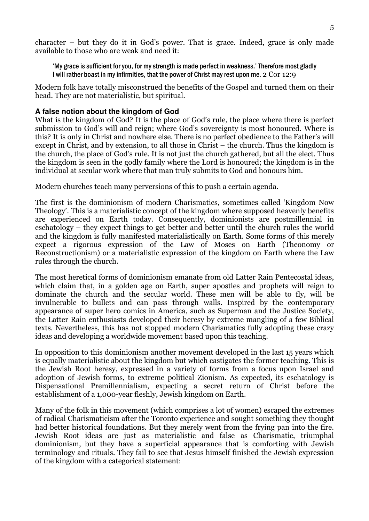character – but they do it in God's power. That is grace. Indeed, grace is only made available to those who are weak and need it:

'My grace is sufficient for you, for my strength is made perfect in weakness.' Therefore most gladly I will rather boast in my infirmities, that the power of Christ may rest upon me. 2 Cor 12:9

Modern folk have totally misconstrued the benefits of the Gospel and turned them on their head. They are not materialistic, but spiritual.

#### **A false notion about the kingdom of God**

What is the kingdom of God? It is the place of God's rule, the place where there is perfect submission to God's will and reign; where God's sovereignty is most honoured. Where is this? It is only in Christ and nowhere else. There is no perfect obedience to the Father's will except in Christ, and by extension, to all those in Christ – the church. Thus the kingdom is the church, the place of God's rule. It is not just the church gathered, but all the elect. Thus the kingdom is seen in the godly family where the Lord is honoured; the kingdom is in the individual at secular work where that man truly submits to God and honours him.

Modern churches teach many perversions of this to push a certain agenda.

The first is the dominionism of modern Charismatics, sometimes called 'Kingdom Now Theology'. This is a materialistic concept of the kingdom where supposed heavenly benefits are experienced on Earth today. Consequently, dominionists are postmillennial in eschatology – they expect things to get better and better until the church rules the world and the kingdom is fully manifested materialistically on Earth. Some forms of this merely expect a rigorous expression of the Law of Moses on Earth (Theonomy or Reconstructionism) or a materialistic expression of the kingdom on Earth where the Law rules through the church.

The most heretical forms of dominionism emanate from old Latter Rain Pentecostal ideas, which claim that, in a golden age on Earth, super apostles and prophets will reign to dominate the church and the secular world. These men will be able to fly, will be invulnerable to bullets and can pass through walls. Inspired by the contemporary appearance of super hero comics in America, such as Superman and the Justice Society, the Latter Rain enthusiasts developed their heresy by extreme mangling of a few Biblical texts. Nevertheless, this has not stopped modern Charismatics fully adopting these crazy ideas and developing a worldwide movement based upon this teaching.

In opposition to this dominionism another movement developed in the last 15 years which is equally materialistic about the kingdom but which castigates the former teaching. This is the Jewish Root heresy, expressed in a variety of forms from a focus upon Israel and adoption of Jewish forms, to extreme political Zionism. As expected, its eschatology is Dispensational Premillennialism, expecting a secret return of Christ before the establishment of a 1,000-year fleshly, Jewish kingdom on Earth.

Many of the folk in this movement (which comprises a lot of women) escaped the extremes of radical Charismaticism after the Toronto experience and sought something they thought had better historical foundations. But they merely went from the frying pan into the fire. Jewish Root ideas are just as materialistic and false as Charismatic, triumphal dominionism, but they have a superficial appearance that is comforting with Jewish terminology and rituals. They fail to see that Jesus himself finished the Jewish expression of the kingdom with a categorical statement: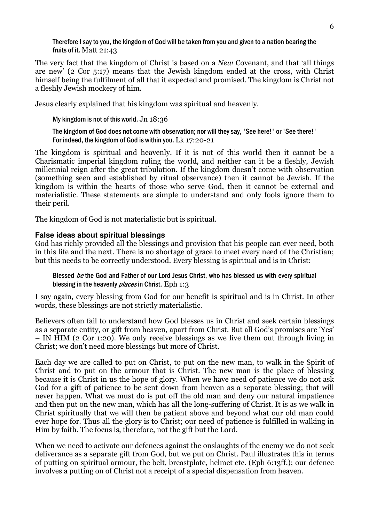Therefore I say to you, the kingdom of God will be taken from you and given to a nation bearing the fruits of it. Matt 21:43

The very fact that the kingdom of Christ is based on a New Covenant, and that 'all things are new' (2 Cor 5:17) means that the Jewish kingdom ended at the cross, with Christ himself being the fulfilment of all that it expected and promised. The kingdom is Christ not a fleshly Jewish mockery of him.

Jesus clearly explained that his kingdom was spiritual and heavenly.

My kingdom is not of this world. Jn 18:36

The kingdom of God does not come with observation; nor will they say, 'See here!' or 'See there!' For indeed, the kingdom of God is within you. Lk 17:20-21

The kingdom is spiritual and heavenly. If it is not of this world then it cannot be a Charismatic imperial kingdom ruling the world, and neither can it be a fleshly, Jewish millennial reign after the great tribulation. If the kingdom doesn't come with observation (something seen and established by ritual observance) then it cannot be Jewish. If the kingdom is within the hearts of those who serve God, then it cannot be external and materialistic. These statements are simple to understand and only fools ignore them to their peril.

The kingdom of God is not materialistic but is spiritual.

## **False ideas about spiritual blessings**

God has richly provided all the blessings and provision that his people can ever need, both in this life and the next. There is no shortage of grace to meet every need of the Christian; but this needs to be correctly understood. Every blessing is spiritual and is in Christ:

Blessed be the God and Father of our Lord Jesus Christ, who has blessed us with every spiritual blessing in the heavenly *places* in Christ. Eph 1:3

I say again, every blessing from God for our benefit is spiritual and is in Christ. In other words, these blessings are not strictly materialistic.

Believers often fail to understand how God blesses us in Christ and seek certain blessings as a separate entity, or gift from heaven, apart from Christ. But all God's promises are 'Yes' – IN HIM (2 Cor 1:20). We only receive blessings as we live them out through living in Christ; we don't need more blessings but more of Christ.

Each day we are called to put on Christ, to put on the new man, to walk in the Spirit of Christ and to put on the armour that is Christ. The new man is the place of blessing because it is Christ in us the hope of glory. When we have need of patience we do not ask God for a gift of patience to be sent down from heaven as a separate blessing; that will never happen. What we must do is put off the old man and deny our natural impatience and then put on the new man, which has all the long-suffering of Christ. It is as we walk in Christ spiritually that we will then be patient above and beyond what our old man could ever hope for. Thus all the glory is to Christ; our need of patience is fulfilled in walking in Him by faith. The focus is, therefore, not the gift but the Lord.

When we need to activate our defences against the onslaughts of the enemy we do not seek deliverance as a separate gift from God, but we put on Christ. Paul illustrates this in terms of putting on spiritual armour, the belt, breastplate, helmet etc. (Eph 6:13ff.); our defence involves a putting on of Christ not a receipt of a special dispensation from heaven.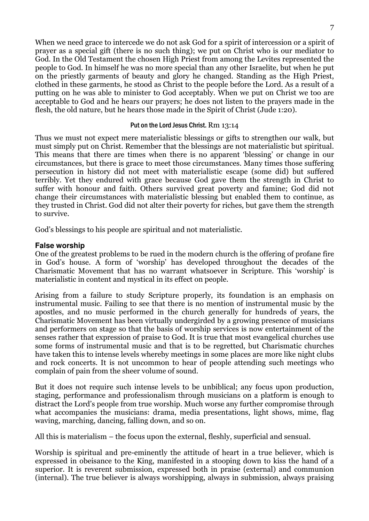When we need grace to intercede we do not ask God for a spirit of intercession or a spirit of prayer as a special gift (there is no such thing); we put on Christ who is our mediator to God. In the Old Testament the chosen High Priest from among the Levites represented the people to God. In himself he was no more special than any other Israelite, but when he put on the priestly garments of beauty and glory he changed. Standing as the High Priest, clothed in these garments, he stood as Christ to the people before the Lord. As a result of a putting on he was able to minister to God acceptably. When we put on Christ we too are acceptable to God and he hears our prayers; he does not listen to the prayers made in the flesh, the old nature, but he hears those made in the Spirit of Christ (Jude 1:20).

#### Put on the Lord Jesus Christ. Rm 13:14

Thus we must not expect mere materialistic blessings or gifts to strengthen our walk, but must simply put on Christ. Remember that the blessings are not materialistic but spiritual. This means that there are times when there is no apparent 'blessing' or change in our circumstances, but there is grace to meet those circumstances. Many times those suffering persecution in history did not meet with materialistic escape (some did) but suffered terribly. Yet they endured with grace because God gave them the strength in Christ to suffer with honour and faith. Others survived great poverty and famine; God did not change their circumstances with materialistic blessing but enabled them to continue, as they trusted in Christ. God did not alter their poverty for riches, but gave them the strength to survive.

God's blessings to his people are spiritual and not materialistic.

## **False worship**

One of the greatest problems to be rued in the modern church is the offering of profane fire in God's house. A form of 'worship' has developed throughout the decades of the Charismatic Movement that has no warrant whatsoever in Scripture. This 'worship' is materialistic in content and mystical in its effect on people.

Arising from a failure to study Scripture properly, its foundation is an emphasis on instrumental music. Failing to see that there is no mention of instrumental music by the apostles, and no music performed in the church generally for hundreds of years, the Charismatic Movement has been virtually undergirded by a growing presence of musicians and performers on stage so that the basis of worship services is now entertainment of the senses rather that expression of praise to God. It is true that most evangelical churches use some forms of instrumental music and that is to be regretted, but Charismatic churches have taken this to intense levels whereby meetings in some places are more like night clubs and rock concerts. It is not uncommon to hear of people attending such meetings who complain of pain from the sheer volume of sound.

But it does not require such intense levels to be unbiblical; any focus upon production, staging, performance and professionalism through musicians on a platform is enough to distract the Lord's people from true worship. Much worse any further compromise through what accompanies the musicians: drama, media presentations, light shows, mime, flag waving, marching, dancing, falling down, and so on.

All this is materialism – the focus upon the external, fleshly, superficial and sensual.

Worship is spiritual and pre-eminently the attitude of heart in a true believer, which is expressed in obeisance to the King, manifested in a stooping down to kiss the hand of a superior. It is reverent submission, expressed both in praise (external) and communion (internal). The true believer is always worshipping, always in submission, always praising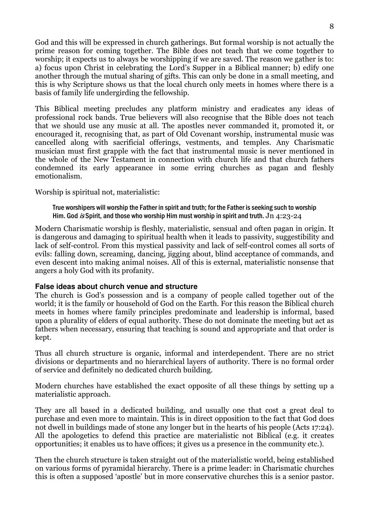God and this will be expressed in church gatherings. But formal worship is not actually the prime reason for coming together. The Bible does not teach that we come together to worship; it expects us to always be worshipping if we are saved. The reason we gather is to: a) focus upon Christ in celebrating the Lord's Supper in a Biblical manner; b) edify one another through the mutual sharing of gifts. This can only be done in a small meeting, and this is why Scripture shows us that the local church only meets in homes where there is a basis of family life undergirding the fellowship.

This Biblical meeting precludes any platform ministry and eradicates any ideas of professional rock bands. True believers will also recognise that the Bible does not teach that we should use any music at all. The apostles never commanded it, promoted it, or encouraged it, recognising that, as part of Old Covenant worship, instrumental music was cancelled along with sacrificial offerings, vestments, and temples. Any Charismatic musician must first grapple with the fact that instrumental music is never mentioned in the whole of the New Testament in connection with church life and that church fathers condemned its early appearance in some erring churches as pagan and fleshly emotionalism.

Worship is spiritual not, materialistic:

True worshipers will worship the Father in spirit and truth; for the Father is seeking such to worship Him. God is Spirit, and those who worship Him must worship in spirit and truth. Jn 4:23-24

Modern Charismatic worship is fleshly, materialistic, sensual and often pagan in origin. It is dangerous and damaging to spiritual health when it leads to passivity, suggestibility and lack of self-control. From this mystical passivity and lack of self-control comes all sorts of evils: falling down, screaming, dancing, jigging about, blind acceptance of commands, and even descent into making animal noises. All of this is external, materialistic nonsense that angers a holy God with its profanity.

## **False ideas about church venue and structure**

The church is God's possession and is a company of people called together out of the world; it is the family or household of God on the Earth. For this reason the Biblical church meets in homes where family principles predominate and leadership is informal, based upon a plurality of elders of equal authority. These do not dominate the meeting but act as fathers when necessary, ensuring that teaching is sound and appropriate and that order is kept.

Thus all church structure is organic, informal and interdependent. There are no strict divisions or departments and no hierarchical layers of authority. There is no formal order of service and definitely no dedicated church building.

Modern churches have established the exact opposite of all these things by setting up a materialistic approach.

They are all based in a dedicated building, and usually one that cost a great deal to purchase and even more to maintain. This is in direct opposition to the fact that God does not dwell in buildings made of stone any longer but in the hearts of his people (Acts 17:24). All the apologetics to defend this practice are materialistic not Biblical (e.g. it creates opportunities; it enables us to have offices; it gives us a presence in the community etc.).

Then the church structure is taken straight out of the materialistic world, being established on various forms of pyramidal hierarchy. There is a prime leader: in Charismatic churches this is often a supposed 'apostle' but in more conservative churches this is a senior pastor.